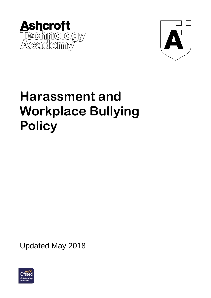



# **Harassment and Workplace Bullying Policy**

Updated May 2018

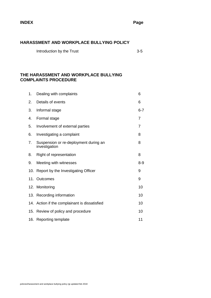#### **HARASSMENT AND WORKPLACE BULLYING POLICY**

Introduction by the Trust 3-5

#### **THE HARASSMENT AND WORKPLACE BULLYING COMPLAINTS PROCEDURE**

| 1.  | Dealing with complaints                                | 6              |
|-----|--------------------------------------------------------|----------------|
| 2.  | Details of events                                      | 6              |
| 3.  | Informal stage                                         | $6 - 7$        |
| 4.  | Formal stage                                           | $\overline{7}$ |
| 5.  | Involvement of external parties                        | 7              |
| 6.  | Investigating a complaint                              | 8              |
| 7.  | Suspension or re-deployment during an<br>investigation | 8              |
| 8.  | Right of representation                                | 8              |
| 9.  | Meeting with witnesses                                 | $8 - 9$        |
|     | 10. Report by the Investigating Officer                | 9              |
| 11. | Outcomes                                               | 9              |
|     | 12. Monitoring                                         | 10             |
|     | 13. Recording information                              | 10             |
|     | 14. Action if the complainant is dissatisfied          | 10             |
|     | 15. Review of policy and procedure                     | 10             |
|     | 16. Reporting template                                 | 11             |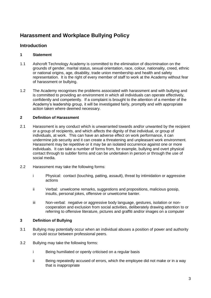## **Harassment and Workplace Bullying Policy**

### **Introduction**

#### **1 Statement**

- 1.1 Ashcroft Technology Academy is committed to the elimination of discrimination on the grounds of gender, marital status, sexual orientation, race, colour, nationality, creed, ethnic or national origins, age, disability, trade union membership and health and safety representation. It is the right of every member of staff to work at the Academy without fear of harassment or bullying.
- 1.2 The Academy recognises the problems associated with harassment and with bullying and is committed to providing an environment in which all individuals can operate effectively, confidently and competently. If a complaint is brought to the attention of a member of the Academy's leadership group, it will be investigated fairly, promptly and with appropriate action taken where deemed necessary.

#### **2 Definition of Harassment**

- 2.1 Harassment is any conduct which is unwarranted towards and/or unwanted by the recipient or a group of recipients, and which affects the dignity of that individual, or group of individuals, at work. This can have an adverse effect on work performance, it can undermine job security and it can create a threatening and unpleasant work environment. Harassment may be repetitive or it may be an isolated occurrence against one or more individuals. It can take a number of forms from, for example, bullying and overt physical contact through to subtler forms and can be undertaken in person or through the use of social media.
- 2.2 Harassment may take the following forms:
	- i Physical: contact (touching, patting, assault), threat by intimidation or aggressive actions
	- ii Verbal: unwelcome remarks, suggestions and propositions, malicious gossip, insults, personal jokes, offensive or unwelcome banter.
	- iii Non-verbal: negative or aggressive body language, gestures, isolation or noncooperation and exclusion from social activities, deliberately drawing attention to or referring to offensive literature, pictures and graffiti and/or images on a computer

#### **3 Definition of Bullying**

- 3.1 Bullying may potentially occur when an individual abuses a position of power and authority or could occur between professional peers.
- 3.2 Bullying may take the following forms:
	- i Being humiliated or openly criticised on a regular basis
	- ii Being repeatedly accused of errors, which the employee did not make or in a way that is inappropriate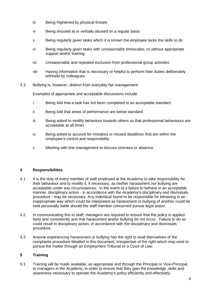- iii Being frightened by physical threats
- iv Being shouted at or verbally abused on a regular basis
- v Being regularly given tasks which it is known the employee lacks the skills to do
- vi Being regularly given tasks with unreasonable timescales, or without appropriate support and/or training
- vii Unreasonable and repeated exclusion from professional group activities
- viii Having information that is necessary or helpful to perform their duties deliberately withheld by colleagues
- 3.3 Bullying is, however, distinct from everyday fair management.

Examples of appropriate and acceptable discussions include:

- i Being told that a task has not been completed to an acceptable standard
- ii Being told that areas of performance are below standard
- iii Being asked to modify behaviour towards others so that professional behaviours are acceptable at all times
- iv Being asked to account for mistakes or missed deadlines that are within the employee's control and responsibility
- v Meeting with line management to discuss sickness or absence

#### **4 Responsibilities**

- 4.1 It is the duty of every member of staff employed at the Academy to take responsibility for their behaviour and to modify it, if necessary, as neither harassment nor bullying are acceptable under any circumstances. In the event of a failure to behave in an acceptable manner, disciplinary action - in accordance with the Academy's disciplinary and dismissals procedure - may be necessary. Any individual found to be responsible for behaving in an inappropriate way which could be interpreted as harassment or bullying of another could be held personally liable should the staff member concerned pursue legal action.
- 4.2 In communicating this to staff, managers are required to ensure that the policy is applied fairly and consistently and that harassment and/or bullying do not occur. Failure to do so could result in disciplinary action, in accordance with the disciplinary and dismissals procedure.
- 4.3 Anyone experiencing harassment or bullying has the right to avail themselves of the complaints procedure detailed in this document, irrespective of the right which may exist to pursue the matter through an Employment Tribunal or a Court of Law.

#### **5 Training**

5.1 Training will be made available, as appropriate and through the Principal or Vice-Principal, to managers in the Academy, in order to ensure that they gain the knowledge, skills and awareness necessary to operate the Academy's policy efficiently and effectively.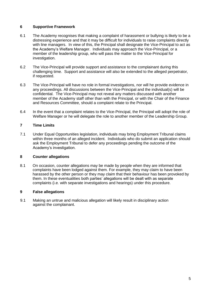#### **6 Supportive Framework**

- 6.1 The Academy recognises that making a complaint of harassment or bullying is likely to be a distressing experience and that it may be difficult for individuals to raise complaints directly with line managers. In view of this, the Principal shall designate the Vice-Principal to act as the Academy's Welfare Manager. Individuals may approach the Vice-Principal, or a member of the leadership group, who will pass the matter to the Vice-Principal for investigation.
- 6.2 The Vice-Principal will provide support and assistance to the complainant during this challenging time. Support and assistance will also be extended to the alleged perpetrator, if requested.
- 6.3 The Vice-Principal will have no role in formal investigations, nor will he provide evidence in any proceedings. All discussions between the Vice-Principal and the individual(s) will be confidential. The Vice-Principal may not reveal any matters discussed with another member of the Academy staff other than with the Principal, or with the Chair of the Finance and Resources Committee, should a complaint relate to the Principal.
- 6.4 In the event that a complaint relates to the Vice-Principal, the Principal will adopt the role of Welfare Manager or he will delegate the role to another member of the Leadership Group.

#### **7 Time Limits**

7.1 Under Equal Opportunities legislation, individuals may bring Employment Tribunal claims within three months of an alleged incident. Individuals who do submit an application should ask the Employment Tribunal to defer any proceedings pending the outcome of the Academy's investigation.

#### **8 Counter allegations**

8.1 On occasion, counter allegations may be made by people when they are informed that complaints have been lodged against them. For example, they may claim to have been harassed by the other person or they may claim that their behaviour has been provoked by them. In these eventualities both parties' allegations will be dealt with as separate complaints (i.e. with separate investigations and hearings) under this procedure.

#### **9 False allegations**

9.1 Making an untrue and malicious allegation will likely result in disciplinary action against the complainant.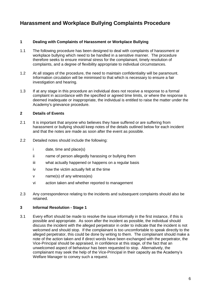## **Harassment and Workplace Bullying Complaints Procedure**

#### **1 Dealing with Complaints of Harassment or Workplace Bullying**

- 1.1 The following procedure has been designed to deal with complaints of harassment or workplace bullying which need to be handled in a sensitive manner. The procedure therefore seeks to ensure minimal stress for the complainant, timely resolution of complaints, and a degree of flexibility appropriate to individual circumstances.
- 1.2 At all stages of the procedure, the need to maintain confidentiality will be paramount. Information circulation will be minimised to that which is necessary to ensure a fair investigation and hearing.
- 1.3 If at any stage in this procedure an individual does not receive a response to a formal complaint in accordance with the specified or agreed time limits, or where the response is deemed inadequate or inappropriate, the individual is entitled to raise the matter under the Academy's grievance procedure.

#### **2 Details of Events**

- 2.1 It is important that anyone who believes they have suffered or are suffering from harassment or bullying should keep notes of the details outlined below for each incident and that the notes are made as soon after the event as possible.
- 2.2 Detailed notes should include the following:
	- i date, time and place(s)
	- ii name of person allegedly harassing or bullying them
	- iii what actually happened or happens on a regular basis
	- iv how the victim actually felt at the time
	- v name(s) of any witness(es)
	- vi action taken and whether reported to management
- 2.3 Any correspondence relating to the incidents and subsequent complaints should also be retained.

#### **3 Informal Resolution - Stage 1**

3.1 Every effort should be made to resolve the issue informally in the first instance, if this is possible and appropriate. As soon after the incident as possible, the individual should discuss the incident with the alleged perpetrator in order to indicate that the incident is not welcomed and should stop. If the complainant is too uncomfortable to speak directly to the alleged perpetrator, this could be done by writing to them. The complainant should make a note of the action taken and if direct words have been exchanged with the perpetrator, the Vice-Principal should be appraised, in confidence at this stage, of the fact that an unwelcomed aspect of behaviour has been requested to stop. Alternatively, the complainant may seek the help of the Vice-Principal in their capacity as the Academy's Welfare Manager to convey such a request.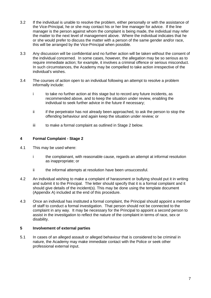- 3.2 If the individual is unable to resolve the problem, either personally or with the assistance of the Vice-Principal, he or she may contact his or her line manager for advice. If the line manager is the person against whom the complaint is being made, the individual may refer the matter to the next level of management above. Where the individual indicates that he or she would prefer to discuss the matter with a person of the same gender and/or race, this will be arranged by the Vice-Principal when possible.
- 3.3 Any discussion will be confidential and no further action will be taken without the consent of the individual concerned. In some cases, however, the allegation may be so serious as to require immediate action; for example, it involves a criminal offence or serious misconduct. In such circumstances, the Academy may be compelled to take action irrespective of the individual's wishes.
- 3.4 The courses of action open to an individual following an attempt to resolve a problem informally include:
	- i to take no further action at this stage but to record any future incidents, as recommended above, and to keep the situation under review, enabling the individual to seek further advice in the future if necessary;
	- ii if the perpetrator has not already been approached, to ask the person to stop the offending behaviour and again keep the situation under review; or
	- iii to make a formal complaint as outlined in Stage 2 below.

#### **4 Formal Complaint - Stage 2**

- 4.1 This may be used where:
	- i the complainant, with reasonable cause, regards an attempt at informal resolution as inappropriate; or
	- ii the informal attempts at resolution have been unsuccessful.
- 4.2 An individual wishing to make a complaint of harassment or bullying should put it in writing and submit it to the Principal. The letter should specify that it is a formal complaint and it should give details of the incident(s). This may be done using the template document (Appendix A) included at the end of this procedure.
- 4.3 Once an individual has instituted a formal complaint, the Principal should appoint a member of staff to conduct a formal investigation. That person should not be connected to the complaint in any way. It may be necessary for the Principal to appoint a second person to assist in the investigation to reflect the nature of the complaint in terms of race, sex or disability.

#### **5 Involvement of external parties**

5.1 In cases of an alleged assault or alleged behaviour that is considered to be criminal in nature, the Academy may make immediate contact with the Police or seek other professional external input.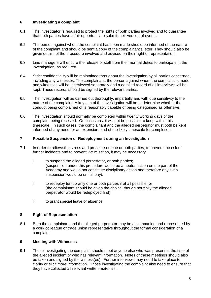#### **6 Investigating a complaint**

- 6.1 The investigator is required to protect the rights of both parties involved and to guarantee that both parties have a fair opportunity to submit their version of events.
- 6.2 The person against whom the complaint has been made should be informed of the nature of the complaint and should be sent a copy of the complainant's letter. They should also be given details of the procedure involved and advised on their right of representation.
- 6.3 Line managers will ensure the release of staff from their normal duties to participate in the investigation, as required.
- 6.4 Strict confidentiality will be maintained throughout the investigation by all parties concerned, including any witnesses. The complainant, the person against whom the complaint is made and witnesses will be interviewed separately and a detailed record of all interviews will be kept. These records should be signed by the relevant parties.
- 6.5 The investigation will be carried out thoroughly, impartially and with due sensitivity to the nature of the complaint. A key aim of the investigation will be to determine whether the conduct being complained of is reasonably capable of being categorised as offensive.
- 6.6 The investigation should normally be completed within twenty working days of the complaint being received. On occasions, it will not be possible to keep within this timescale. In such cases, the complainant and the alleged perpetrator must both be kept informed of any need for an extension, and of the likely timescale for completion.

#### **7 Possible Suspension or Redeployment during an Investigation**

- 7.1 In order to relieve the stress and pressure on one or both parties, to prevent the risk of further incidents and to prevent victimisation, it may be necessary:
	- i to suspend the alleged perpetrator, or both parties; (suspension under this procedure would be a neutral action on the part of the Academy and would not constitute disciplinary action and therefore any such suspension would be on full pay).
	- ii to redeploy temporarily one or both parties if at all possible; or (the complainant should be given the choice, though normally the alleged perpetrator would be redeployed first).
	- iii to grant special leave of absence

#### **8 Right of Representation**

8.1 Both the complainant and the alleged perpetrator may be accompanied and represented by a work colleague or trade union representative throughout the formal consideration of a complaint.

#### **9 Meeting with Witnesses**

9.1 Those investigating the complaint should meet anyone else who was present at the time of the alleged incident or who has relevant information. Notes of these meetings should also be taken and signed by the witness(es). Further interviews may need to take place to clarify or elicit more information. Those investigating the complaint also need to ensure that they have collected all relevant written materials.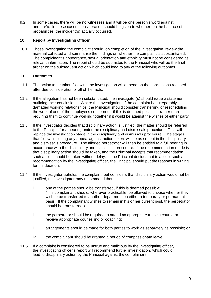9.2 In some cases, there will be no witnesses and it will be one person's word against another's. In these cases, consideration should be given to whether, on the balance of probabilities, the incident(s) actually occurred.

#### **10 Report by Investigating Officer**

10.1 Those investigating the complaint should, on completion of the investigation, review the material collected and summarise the findings on whether the complaint is substantiated. The complainant's appearance, sexual orientation and ethnicity must not be considered as relevant information. The report should be submitted to the Principal who will be the final arbiter on the subsequent action which could lead to any of the following outcomes.

#### **11 Outcomes**

- 11.1 The action to be taken following the investigation will depend on the conclusions reached after due consideration of all of the facts.
- 11.2 If the allegation has not been substantiated, the investigator(s) should issue a statement outlining their conclusions. Where the investigation of the complaint has irreparably damaged working relationships, the Principal should consider transferring or rescheduling the work of one of the employees concerned - if this is deemed possible - rather than requiring them to continue working together if it would be against the wishes of either party.
- 11.3 If the investigator decides that disciplinary action is justified, the matter should be referred to the Principal for a hearing under the disciplinary and dismissals procedure. This will replace the investigation stage in the disciplinary and dismissals procedure. The stages that follow, including any appeal against action taken, will be as set out in the disciplinary and dismissals procedure. The alleged perpetrator will then be entitled to a full hearing in accordance with the disciplinary and dismissals procedure. If the recommendation made is that disciplinary action should be taken, and the Principal accepts that recommendation, such action should be taken without delay. If the Principal decides not to accept such a recommendation by the investigating officer, the Principal should put the reasons in writing for his decision.
- 11.4 If the investigator upholds the complaint, but considers that disciplinary action would not be justified, the investigator may recommend that:
	- i one of the parties should be transferred, if this is deemed possible; (The complainant should, wherever practicable, be allowed to choose whether they wish to be transferred to another department on either a temporary or permanent basis. If the complainant wishes to remain in his or her current post, the perpetrator should be transferred.)
	- ii the perpetrator should be required to attend an appropriate training course or receive appropriate counselling or coaching;
	- iii arrangements should be made for both parties to work as separately as possible; or
	- iv the complainant should be granted a period of compassionate leave.
- 11.5 If a complaint is considered to be untrue and malicious by the investigating officer, the investigating officer's report will recommend further investigation, which could lead to disciplinary action by the Principal against the complainant.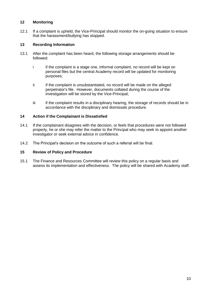#### **12 Monitoring**

12.1 If a complaint is upheld, the Vice-Principal should monitor the on-going situation to ensure that the harassment/bullying has stopped.

#### **13 Recording Information**

- 13.1 After the complaint has been heard, the following storage arrangements should be followed:
	- i if the complaint is a stage one, informal complaint, no record will be kept on personal files but the central Academy record will be updated for monitoring purposes;
	- ii if the complaint is unsubstantiated, no record will be made on the alleged perpetrator's file. However, documents collated during the course of the investigation will be stored by the Vice-Principal;
	- iii if the complaint results in a disciplinary hearing, the storage of records should be in accordance with the disciplinary and dismissals procedure.

#### **14 Action if the Complainant is Dissatisfied**

- 14.1 If the complainant disagrees with the decision, or feels that procedures were not followed properly, he or she may refer the matter to the Principal who may seek to appoint another investigator or seek external advice in confidence.
- 14.2 The Principal's decision on the outcome of such a referral will be final.

#### **15 Review of Policy and Procedure**

15.1 The Finance and Resources Committee will review this policy on a regular basis and assess its implementation and effectiveness. The policy will be shared with Academy staff.